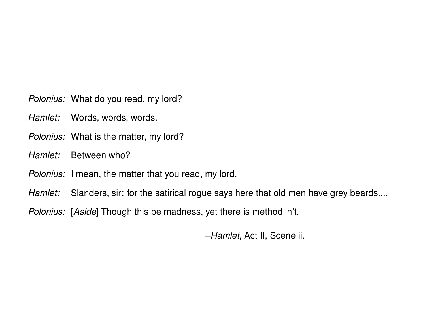Polonius: What do you read, my lord?

- Hamlet: Words, words, words.
- Polonius: What is the matter, my lord?
- *Hamlet:* Between who?
- Polonius: I mean, the matter that you read, my lord.
- Hamlet: Slanders, sir: for the satirical rogue says here that old men have grey beards....
- Polonius: [Aside] Though this be madness, yet there is method in't.

–Hamlet, Act II, Scene ii.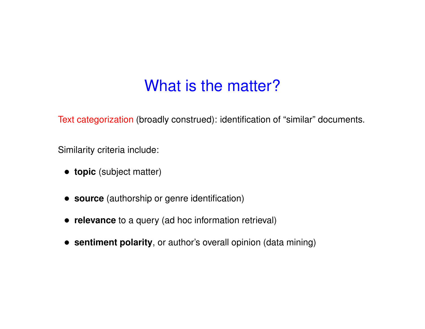## What is the matter?

Text categorization (broadly construed): identification of "similar" documents.

Similarity criteria include:

- **topic** (subject matter)
- **source** (authorship or genre identification)
- **relevance** to <sup>a</sup> query (ad hoc information retrieval)
- **sentiment polarity**, or author's overall opinion (data mining)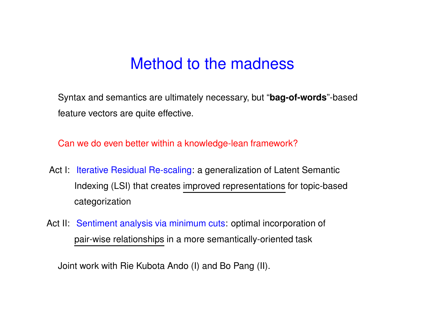### Method to the madness

Syntax and semantics are ultimately necessary, but "**bag-of-words**"-based feature vectors are quite effective.

Can we do even better within <sup>a</sup> knowledge-lean framework?

- Act I: Iterative Residual Re-scaling: a generalization of Latent Semantic Indexing (LSI) that creates improved representations for topic-based categorization
- Act II: Sentiment analysis via minimum cuts: optimal incorporation of pair-wise relationships in <sup>a</sup> more semantically-oriented task

Joint work with Rie Kubota Ando (I) and Bo Pang (II).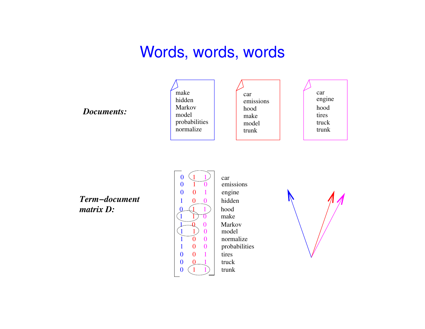## Words, words, words

#### *Documents:*



trunkmakehoodcarmodelemissions trunktruck tires engine hood car

*Term−documentmatrix D:*



 car emissions model probabilities hidden engine make Markov normalize hood tires trucktrunk

![](_page_3_Picture_8.jpeg)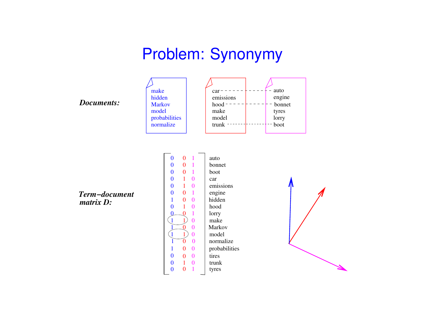## Problem: Synonymy

![](_page_4_Figure_1.jpeg)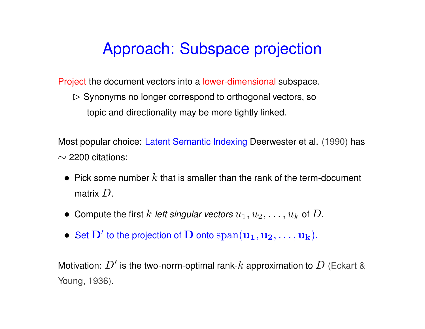# Approach: Subspace projection

Project the document vectors into <sup>a</sup> lower-dimensional subspace.

 $\triangleright$  Synonyms no longer correspond to orthogonal vectors, so topic and directionality may be more tightly linked.

Most popular choice: Latent Semantic Indexing Deerwester et al. (1990) has  $\sim$  2200 citations:

- Pick some number  $k$  that is smaller than the rank of the term-document matrix  $D_\cdot$
- $\bullet \,$  Compute the first  $k$  *left singular vectors*  $u_1, u_2, \ldots, u_k$  *of*  $D.$
- $\bullet \,\,$  Set  $\bf{D}'$  to the projection of  $\bf{D}$  onto  ${\rm span}({\bf u_1},{\bf u_2},\ldots,{\bf u_k}).$

Motivation:  $D^{\prime}$  is the two-norm-optimal rank- $k$  approximation to  $D$  (Eckart & Young, 1936).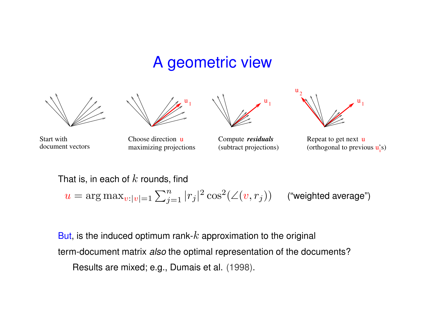### A geometric view

![](_page_6_Figure_1.jpeg)

![](_page_6_Picture_2.jpeg)

![](_page_6_Picture_3.jpeg)

document vectorsStart with

 Choose direction u maximizing projections

Compute  *residuals* (subtract projections)

![](_page_6_Picture_7.jpeg)

Repeat to get next <sup>u</sup> (orthogonal to previous  $\mathbf{u}_i$ 's)

That is, in each of  $k$  rounds, find  $u =$  $\alpha=\arg\max_{v:|v|=1}\sum_{j=1}^n|r_j|^2\cos^2(\angle(v,r_j))$  ("weighted average")

But, is the induced optimum rank- $k$  approximation to the original term-document matrix *also* the optimal representation of the documents? Results are mixed; e.g., Dumais et al. (1998).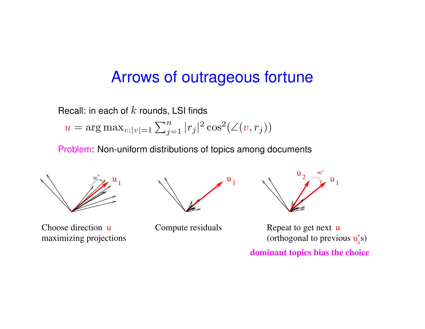### Arrows of outrageous fortune

Recall: in each of  $k$  rounds, LSI finds

 $u =$  $\lambda=\arg\max_{v:|v|=1}\sum_{j=1}^n|r_j|^2\cos^2(\angle(v,r_j))$ 

Problem: Non-uniform distributions of topics among documents

![](_page_7_Figure_4.jpeg)

Choose direction umaximizing projections

![](_page_7_Picture_6.jpeg)

Compute residuals

![](_page_7_Picture_8.jpeg)

Repeat to get next u (orthogonal to previous  $\mathbf{u}_i$ 's)

**dominant topics bias the choice**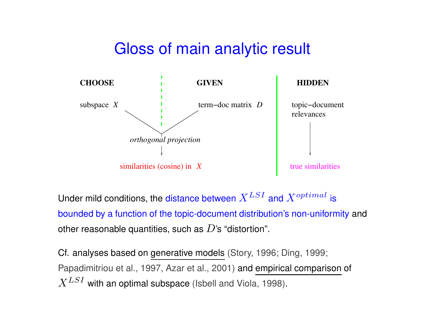## Gloss of main analytic result

![](_page_8_Figure_1.jpeg)

Under mild conditions, the distance between  $X^{LSI}$  and  $X^{optimal}$  is bounded by <sup>a</sup> function of the topic-document distribution's non-uniformity and other reasonable quantities, such as  $D$ 's "distortion".

Cf. analyses based on generative models (Story, 1996; Ding, 1999; Papadimitriou et al., 1997, Azar et al., 2001) and empirical comparison of  $X^{LSI}$  with an optimal subspace (Isbell and Viola, 1998).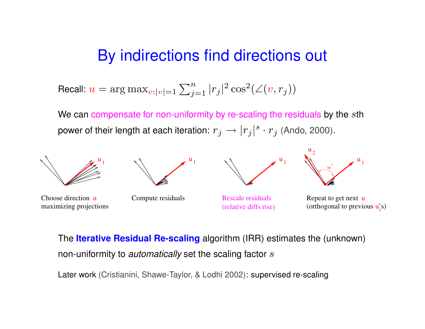### By indirections find directions out

Recall:  $u=\,$  $\lambda=\arg\max_{v:|v|=1}\sum_{j=1}^n|r_j|^2\cos^2(\angle(v,r_j))$ 

We can compensate for non-uniformity by re-scaling the residuals by the  $s$ th power of their length at each iteration:  $r_j \rightarrow |r_j|^s \cdot r_j$  (Ando, 2000).

![](_page_9_Figure_3.jpeg)

The **Iterative Residual Re-scaling** algorithm (IRR) estimates the (unknown) non-uniformity to *automatically* set the scaling factor s

Later work (Cristianini, Shawe-Taylor, & Lodhi 2002): supervised re-scaling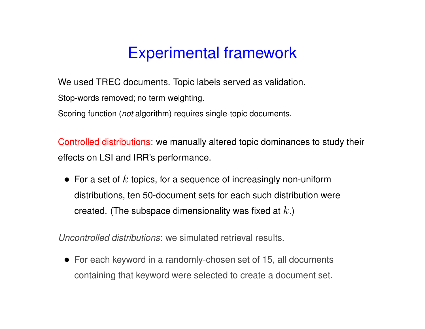## Experimental framework

We used TREC documents. Topic labels served as validation.

Stop-words removed; no term weighting.

Scoring function (*not* algorithm) requires single-topic documents.

Controlled distributions: we manually altered topic dominances to study their effects on LSI and IRR's performance.

 $\bullet\,$  For a set of  $k$  topics, for a sequence of increasingly non-uniform distributions, ten 50-document sets for each such distribution were created. (The subspace dimensionality was fixed at  $k$ .)

Uncontrolled distributions: we simulated retrieval results.

• For each keyword in <sup>a</sup> randomly-chosen set of 15, all documents containing that keyword were selected to create <sup>a</sup> document set.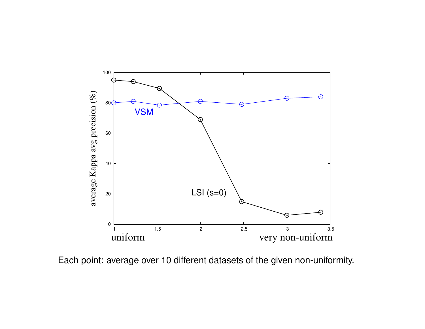![](_page_11_Figure_0.jpeg)

Each point: average over 10 different datasets of the given non-uniformity.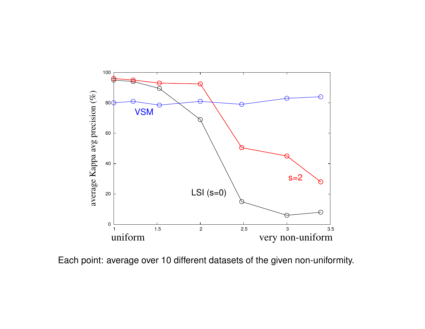![](_page_12_Figure_0.jpeg)

Each point: average over 10 different datasets of the given non-uniformity.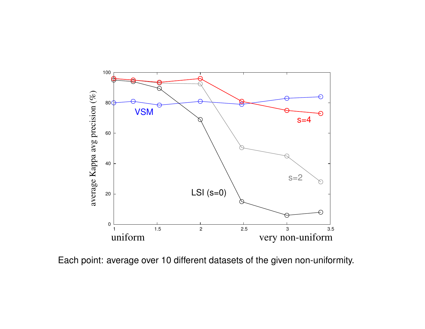![](_page_13_Figure_0.jpeg)

Each point: average over 10 different datasets of the given non-uniformity.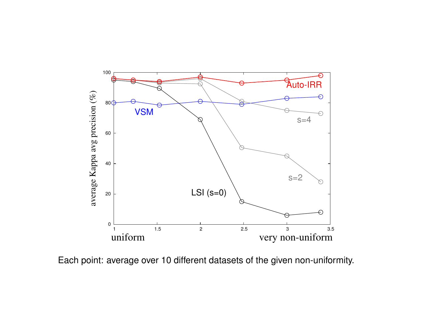![](_page_14_Figure_0.jpeg)

Each point: average over 10 different datasets of the given non-uniformity.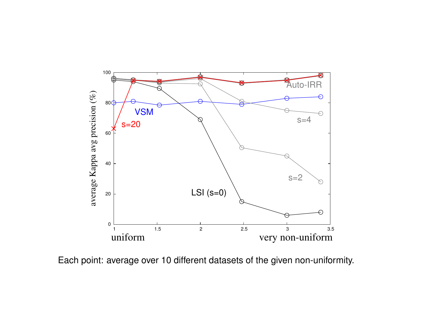![](_page_15_Figure_0.jpeg)

Each point: average over 10 different datasets of the given non-uniformity.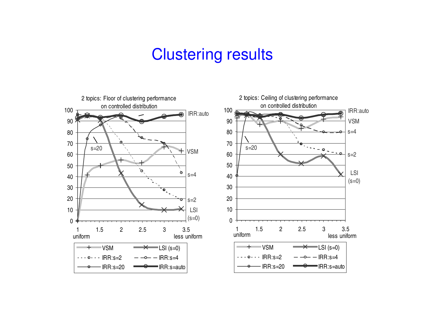### Clustering results

![](_page_16_Figure_1.jpeg)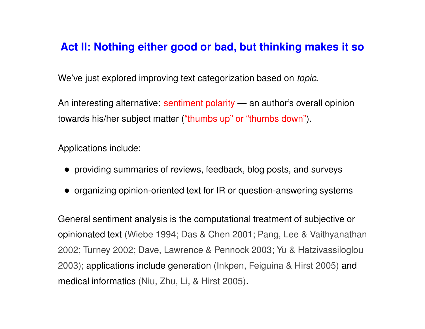### **Act II: Nothing either good or bad, but thinking makes it so**

We've just explored improving text categorization based on *topic*.

An interesting alternative: sentiment polarity — an author's overall opinion towards his/her subject matter ("thumbs up" or "thumbs down").

Applications include:

- providing summaries of reviews, feedback, blog posts, and surveys
- organizing opinion-oriented text for IR or question-answering systems

General sentiment analysis is the computational treatment of subjective or opinionated text (Wiebe 1994; Das & Chen 2001; Pang, Lee & Vaithyanathan 2002; Turney 2002; Dave, Lawrence & Pennock 2003; Yu & Hatzivassiloglou 2003); applications include generation (Inkpen, Feiguina & Hirst 2005) and medical informatics (Niu, Zhu, Li, & Hirst 2005).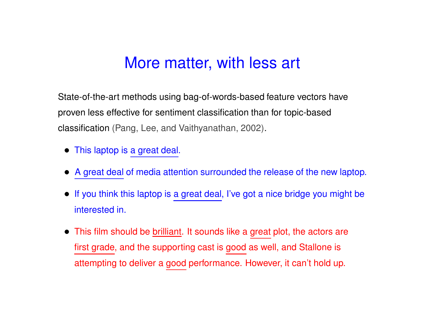### More matter, with less art

State-of-the-art methods using bag-of-words-based feature vectors have proven less effective for sentiment classification than for topic-based classification (Pang, Lee, and Vaithyanathan, 2002).

- This laptop is <sup>a</sup> great deal.
- A great deal of media attention surrounded the release of the new laptop.
- If you think this laptop is <sup>a</sup> great deal, I've got <sup>a</sup> nice bridge you might be interested in.
- This film should be brilliant. It sounds like a great plot, the actors are first grade, and the supporting cast is good as well, and Stallone is attempting to deliver <sup>a</sup> good performance. However, it can't hold up.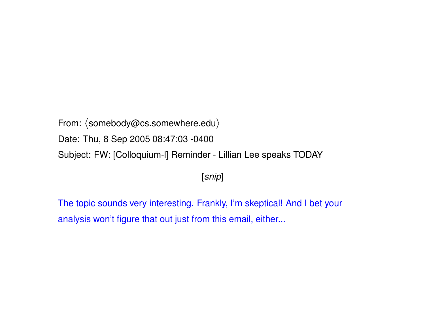From:  $\langle$ somebody@cs.somewhere.edu $\rangle$ Date: Thu, 8 Sep 2005 08:47:03 -0400 Subject: FW: [Colloquium-l] Reminder - Lillian Lee speaks TODAY

[snip]

The topic sounds very interesting. Frankly, I'm skeptical! And I bet your analysis won't figure that out just from this email, either...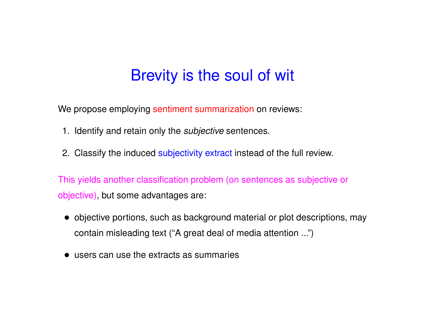## Brevity is the soul of wit

We propose employing sentiment summarization on reviews:

- 1. Identify and retain only the *subjective* sentences.
- 2. Classify the induced subjectivity extract instead of the full review.

This yields another classification problem (on sentences as subjective or objective), but some advantages are:

- objective portions, such as background material or plot descriptions, may contain misleading text ("A great deal of media attention ...")
- users can use the extracts as summaries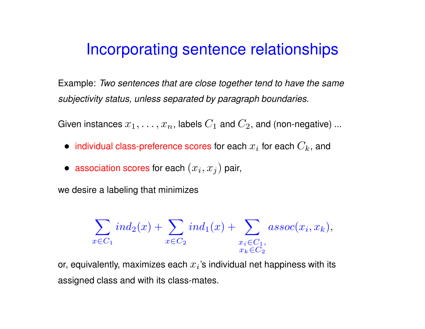### Incorporating sentence relationships

Example: Two sentences that are close together tend to have the same subjectivity status, unless separated by paragraph boundaries.

Given instances  $x_1, \ldots, x_n$ , labels  $C_1$  and  $C_2$ , and (non-negative) ...

- $\bullet \;$  individual class-preference scores for each  $x_i$  for each  $C_k$ , and
- $\bullet \ \textbf{\textcolor{red}{association}}$  scores for each  $(x_i, x_j)$  pair,

we desire <sup>a</sup> labeling that minimizes

$$
\sum_{x \in C_1} ind_2(x) + \sum_{x \in C_2} ind_1(x) + \sum_{\substack{x_i \in C_1, \\ x_k \in C_2}} assoc(x_i, x_k),
$$

or, equivalently, maximizes each  $x_i$ 's individual net happiness with its assigned class and with its class-mates.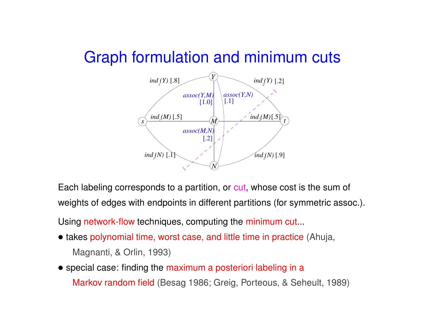### Graph formulation and minimum cuts

![](_page_22_Figure_1.jpeg)

Each labeling corresponds to a partition, or <mark>cut</mark>, whose cost is the sum of weights of edges with endpoints in different partitions (for symmetric assoc.).

Using network-flow techniques, computing the minimum cut...

- takes polynomial time, worst case, and little time in practice (Ahuja, Magnanti, & Orlin, 1993)
- special case: finding the maximum <sup>a</sup> posteriori labeling in <sup>a</sup> Markov random field (Besag 1986; Greig, Porteous, & Seheult, 1989)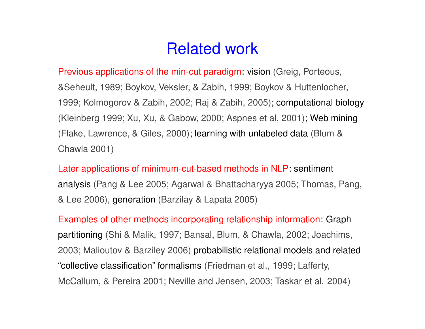## Related work

Previous applications of the min-cut paradigm: vision (Greig, Porteous, &Seheult, 1989; Boykov, Veksler, & Zabih, 1999; Boykov & Huttenlocher, 1999; Kolmogorov & Zabih, 2002; Raj & Zabih, 2005); computational biology (Kleinberg 1999; Xu, Xu, & Gabow, 2000; Aspnes et al, 2001); Web mining (Flake, Lawrence, & Giles, 2000); learning with unlabeled data (Blum & Chawla 2001)

Later applications of minimum-cut-based methods in NLP: sentiment analysis (Pang & Lee 2005; Agarwal & Bhattacharyya 2005; Thomas, Pang, & Lee 2006), generation (Barzilay & Lapata 2005)

Examples of other methods incorporating relationship information: Graph partitioning (Shi & Malik, 1997; Bansal, Blum, & Chawla, 2002; Joachims, 2003; Malioutov & Barziley 2006) probabilistic relational models and related "collective classification" formalisms (Friedman et al., 1999; Lafferty, McCallum, & Pereira 2001; Neville and Jensen, 2003; Taskar et al. 2004)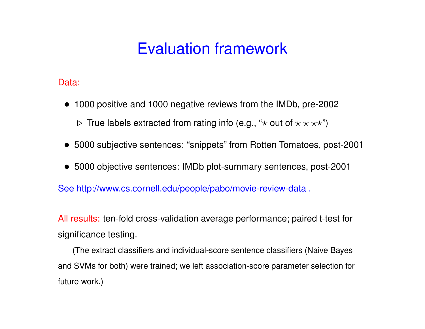# Evaluation framework

Data:

- 1000 positive and 1000 negative reviews from the IMDb, pre-2002  $\triangleright$  True labels extracted from rating info (e.g., " $\star$  out of  $\star\star\star\star$ ")
- 5000 subjective sentences: "snippets" from Rotten Tomatoes, post-2001
- 5000 objective sentences: IMDb plot-summary sentences, post-2001

See http://www.cs.cornell.edu/people/pabo/movie-review-data .

All results: ten-fold cross-validation average performance; paired t-test for significance testing.

(The extract classifiers and individual-score sentence classifiers (Naive Bayes and SVMs for both) were trained; we left association-score parameter selection for future work.)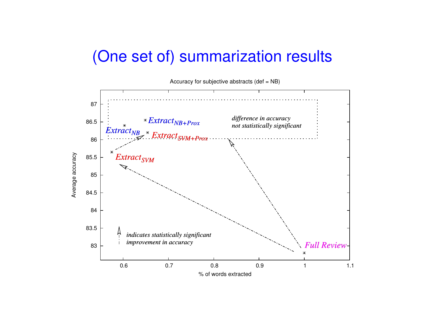## (One set of) summarization results

![](_page_25_Figure_1.jpeg)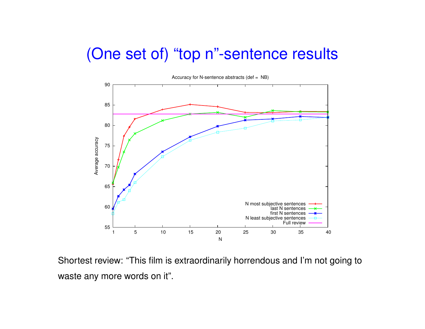### (One set of) "top <sup>n</sup>"-sentence results

![](_page_26_Figure_1.jpeg)

Shortest review: "This film is extraordinarily horrendous and I'm not going to waste any more words on it".